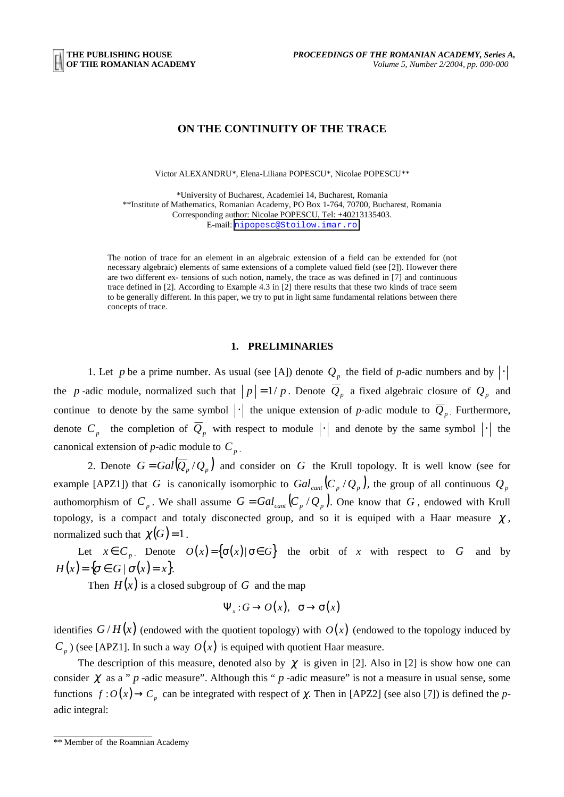# **ON THE CONTINUITY OF THE TRACE**

Victor ALEXANDRU\*, Elena-Liliana POPESCU\*, Nicolae POPESCU\*\*

\*University of Bucharest, Academiei 14, Bucharest, Romania \*\*Institute of Mathematics, Romanian Academy, PO Box 1-764, 70700, Bucharest, Romania Corresponding author: Nicolae POPESCU, Tel: +40213135403. E-mail: [nipopesc@Stoilow.imar.ro](mailto:nipopesc@Stoilow.imar.ro)

The notion of trace for an element in an algebraic extension of a field can be extended for (not necessary algebraic) elements of same extensions of a complete valued field (see [2]). However there are two different ex- tensions of such notion, namely, the trace as was defined in [7] and continuous trace defined in [2]. According to Example 4.3 in [2] there results that these two kinds of trace seem to be generally different. In this paper, we try to put in light same fundamental relations between there concepts of trace.

## **1. PRELIMINARIES**

1. Let *p* be a prime number. As usual (see [A]) denote  $Q_p$  the field of *p*-adic numbers and by  $|\cdot|$ the *p*-adic module, normalized such that  $|p| = 1/p$ . Denote  $\overline{Q}_p$  a fixed algebraic closure of  $Q_p$  and continue to denote by the same symbol  $|\cdot|$  the unique extension of *p*-adic module to  $\overline{Q}_p$ . Furthermore, denote  $C_p$  the completion of  $\overline{Q}_p$  with respect to module  $|\cdot|$  and denote by the same symbol  $|\cdot|$  the canonical extension of *p*-adic module to  $C_p$ .

2. Denote  $G = Gal(\overline{Q}_p / Q_p)$  and consider on *G* the Krull topology. It is well know (see for example [APZ1]) that *G* is canonically isomorphic to  $Gal_{cant} (C_p/Q_p)$ , the group of all continuous  $Q_p$ authomorphism of  $C_p$ . We shall assume  $G = Gal_{cont}(C_p/Q_p)$ . One know that  $G$ , endowed with Krull topology, is a compact and totaly disconected group, and so it is equiped with a Haar measure  $\chi$ , normalized such that  $\chi(G) = 1$ .

Let  $x \in C_p$ . Denote  $O(x) = \{\sigma(x) | \sigma \in G\}$  the orbit of *x* with respect to *G* and by  $H(x) = {\sigma \in G \mid \sigma(x) = x}.$ 

Then  $H(x)$  is a closed subgroup of G and the map

$$
\Psi_x: G \to O(x), \quad \sigma \to \sigma(x)
$$

identifies  $G/H(x)$  (endowed with the quotient topology) with  $O(x)$  (endowed to the topology induced by  $C_p$ ) (see [APZ1]. In such a way  $O(x)$  is equiped with quotient Haar measure.

The description of this measure, denoted also by  $\chi$  is given in [2]. Also in [2] is show how one can consider  $\chi$  as a " *p* -adic measure". Although this " *p* -adic measure" is not a measure in usual sense, some functions  $f: O(x) \to C_p$  can be integrated with respect of  $\chi$ . Then in [APZ2] (see also [7]) is defined the *p*adic integral:

\_\_\_\_\_\_\_\_\_\_\_\_\_\_\_\_\_\_\_\_\_\_\_

<sup>\*\*</sup> Member of the Roamnian Academy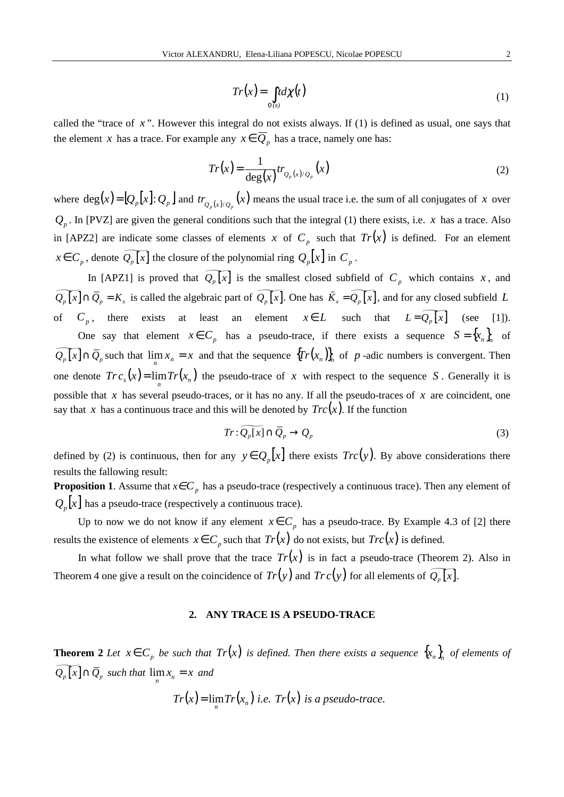$$
Tr(x) = \int_{\alpha(x)} t d\chi(t)
$$
 (1)

called the "trace of *x* ". However this integral do not exists always. If (1) is defined as usual, one says that the element *x* has a trace. For example any  $x \in \overline{Q}_p$  has a trace, namely one has:

$$
Tr(x) = \frac{1}{\deg(x)} tr_{Q_p(x)/Q_p}(x)
$$
 (2)

where  $deg(x) = [Q_p[x] : Q_p]$  and  $tr_{Q_p(x)/Q_p}(x)$  means the usual trace i.e. the sum of all conjugates of *x* over  $Q_p$ . In [PVZ] are given the general conditions such that the integral (1) there exists, i.e. *x* has a trace. Also in [APZ2] are indicate some classes of elements *x* of  $C_p$  such that  $Tr(x)$  is defined. For an element  $x \in C_p$ , denote  $\widetilde{Q_p[x]}$  the closure of the polynomial ring  $Q_p[x]$  in  $C_p$ .

In [APZ1] is proved that  $\widetilde{Q_p[x]}$  is the smallest closed subfield of  $C_p$  which contains *x*, and  $\widetilde{Q_p[x]} \cap \overline{Q}_p = K_x$  is called the algebraic part of  $\widetilde{Q_p[x]}$ . One has  $\widetilde{K}_x = \widetilde{Q_p[x]}$ , and for any closed subfield *L* of  $C_p$ , there exists at least an element  $x \in L$  such that  $L = \widetilde{Q_p[x]}$  (see [1]).

One say that element  $x \in C_p$  has a pseudo-trace, if there exists a sequence  $S = \{x_n\}$  of  $\widetilde{Q}_p[x] \cap \overline{Q}_p$  such that  $\lim_{n} x_n = x$  and that the sequence  $\{Tr(x_n)\}_n$  of *p* -adic numbers is convergent. Then one denote  $Tr c_s(x) = \lim Tr(x_n)$  the pseudo-trace of x with respect to the sequence S. Generally it is possible that *x* has several pseudo-traces, or it has no any. If all the pseudo-traces of *x* are coincident, one say that *x* has a continuous trace and this will be denoted by  $Trc(x)$ . If the function

$$
Tr: \widetilde{Q_p[x]} \cap \overline{Q}_p \to Q_p \tag{3}
$$

defined by (2) is continuous, then for any  $y \in Q_n[x]$  there exists  $Trc(y)$ . By above considerations there results the fallowing result:

**Proposition 1.** Assume that  $x \in C_p$  has a pseudo-trace (respectively a continuous trace). Then any element of  $Q_{n}[x]$  has a pseudo-trace (respectively a continuous trace).

Up to now we do not know if any element  $x \in C_p$  has a pseudo-trace. By Example 4.3 of [2] there results the existence of elements  $x \in C_p$  such that  $Tr(x)$  do not exists, but  $Tr(x)$  is defined.

In what follow we shall prove that the trace  $Tr(x)$  is in fact a pseudo-trace (Theorem 2). Also in Theorem 4 one give a result on the coincidence of  $Tr(y)$  and  $Tr c(y)$  for all elements of  $\widetilde{Q_p[x]}$ .

## **2. ANY TRACE IS A PSEUDO-TRACE**

**Theorem 2** *Let*  $x \in C_p$  *be such that*  $Tr(x)$  *is defined. Then there exists a sequence*  $\{x_n\}_n$  *of elements of*  $\widetilde{Q_p[x]} \cap \overline{Q}_p$  such that  $\lim_n x_n = x$  and

$$
Tr(x) = \lim_n Tr(x_n) \text{ i.e. } Tr(x) \text{ is a pseudo-trace.}
$$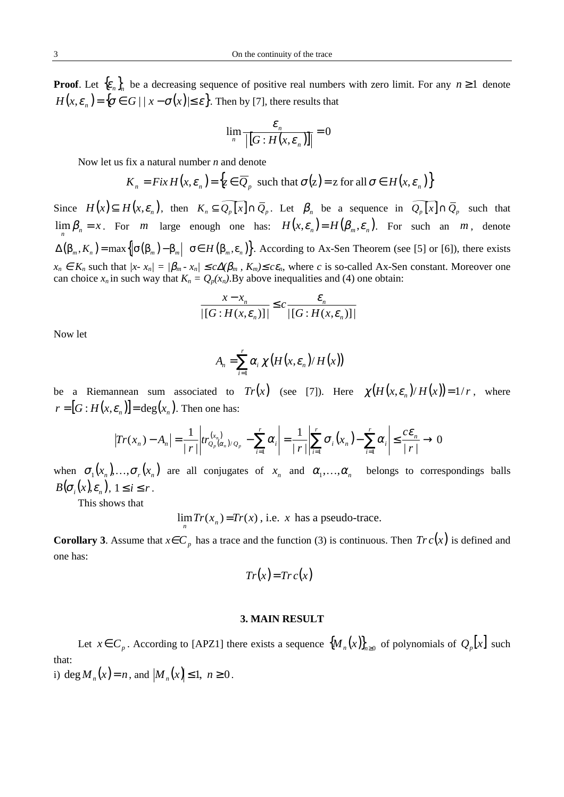**Proof**. Let  ${\epsilon}_n$ , be a decreasing sequence of positive real numbers with zero limit. For any  $n \ge 1$  denote  $H(x, \varepsilon_n) = {\sigma \in G \mid |x - \sigma(x)| \le \varepsilon}.$  Then by [7], there results that

$$
\lim_{n} \frac{\varepsilon_n}{\left| \left[ G: H(x, \varepsilon_n) \right] \right|} = 0
$$

Now let us fix a natural number *n* and denote

$$
K_n = Fix H(x, \varepsilon_n) = \{ z \in \overline{Q}_p \text{ such that } \sigma(z) = z \text{ for all } \sigma \in H(x, \varepsilon_n) \}
$$

Since  $H(x) \subseteq H(x, \varepsilon_n)$ , then  $K_n \subseteq \widetilde{Q_p[x]} \cap \overline{Q}_p$ . Let  $\beta_n$  be a sequence in  $\widetilde{Q_p[x]} \cap \overline{Q}_p$  such that  $\lim_{n} \beta_n = x$ . For *m* large enough one has:  $H(x, \varepsilon_n) = H(\beta_m, \varepsilon_n)$ . For such an *m*, denote  $\Delta(\beta_m, K_n) = \max \{ |\sigma(\beta_m) - \beta_m| \mid \sigma \in H(\beta_m, \varepsilon_n) \}.$  According to Ax-Sen Theorem (see [5] or [6]), there exists  $x_n \in K_n$  such that  $|x - x_n| = |\beta_m - x_n| \le c \Delta(\beta_m, K_m) \le c\epsilon_n$ , where *c* is so-called Ax-Sen constant. Moreover one can choice  $x_n$  in such way that  $K_n = Q_p(x_n)$ . By above inequalities and (4) one obtain:

$$
\frac{x - x_n}{\left| \left[ G : H(x, \varepsilon_n) \right] \right|} \leq c \frac{\varepsilon_n}{\left| \left[ G : H(x, \varepsilon_n) \right] \right|}
$$

Now let

$$
A_n = \sum_{i=1}^r \alpha_i \chi\big(H(x, \varepsilon_n)/H(x)\big)
$$

be a Riemannean sum associated to  $Tr(x)$  (see [7]). Here  $\chi(H(x, \varepsilon_n)/H(x)) = 1/r$ , where  $[r = [G : H(x, \varepsilon_n)] = \deg(x_n)$ . Then one has:

$$
\left|Tr(x_n) - A_n\right| = \frac{1}{|r|} \left| tr_{Q_p(\alpha_n)/Q_p}^{(x_n)} - \sum_{i=1}^r \alpha_i \right| = \frac{1}{|r|} \left| \sum_{i=1}^r \sigma_i(x_n) - \sum_{i=1}^r \alpha_i \right| \le \frac{c\epsilon_n}{|r|} \to 0
$$

when  $\sigma_1(x_n), \ldots, \sigma_r(x_n)$  are all conjugates of  $x_n$  and  $\alpha_1, \ldots, \alpha_n$  belongs to correspondings balls  $B(\sigma_i(x), \varepsilon_n), 1 \leq i \leq r$ .

This shows that

 $\lim{Tr(x_n)=Tr(x)}$ , i.e. *x* has a pseudo-trace.

**Corollary 3**. Assume that  $x \in C_p$  has a trace and the function (3) is continuous. Then  $Tr c(x)$  is defined and one has:

$$
Tr(x) = Tr c(x)
$$

## **3. MAIN RESULT**

Let  $x \in C_p$ . According to [APZ1] there exists a sequence  $\{M_n(x)\}_{n\geq 0}$  of polynomials of  $Q_p[x]$  such that:

i)  $deg M_n(x) = n$ , and  $|M_n(x)| \le 1$ ,  $n \ge 0$ .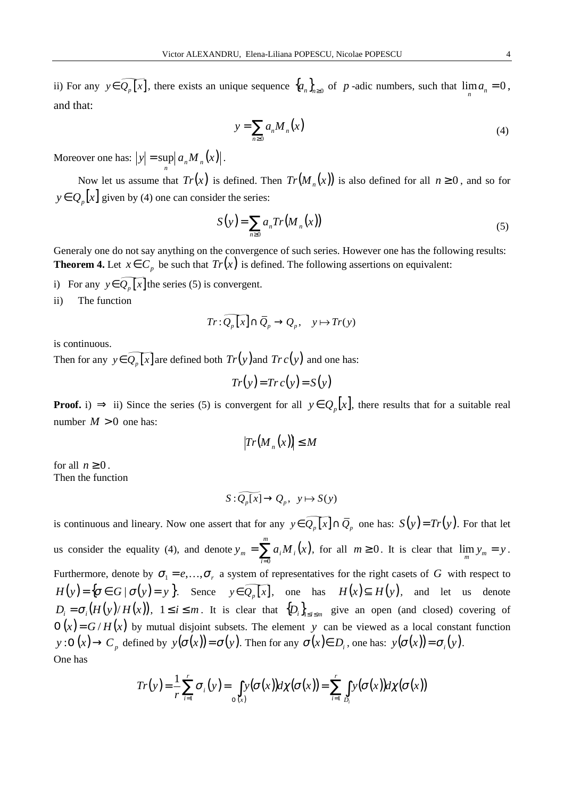ii) For any  $y \in \widetilde{Q_p[x]}$ , there exists an unique sequence  $\{a_n\}_{n\geq 0}$  of *p*-adic numbers, such that  $\lim_{n} a_n = 0$ , and that:

$$
y = \sum_{n\geq 0} a_n M_n(x) \tag{4}
$$

Moreover one has:  $|y| = \sup_n |a_n M_n(x)|$ .

Now let us assume that  $Tr(x)$  is defined. Then  $Tr(M_n(x))$  is also defined for all  $n \ge 0$ , and so for  $y \in Q_p[x]$  given by (4) one can consider the series:

$$
S(y) = \sum_{n\geq 0} a_n Tr(M_n(x))
$$
\n(5)

Generaly one do not say anything on the convergence of such series. However one has the following results: **Theorem 4.** Let  $x \in C_p$  be such that  $Tr(x)$  is defined. The following assertions on equivalent:

i) For any  $y \in Q_n[x]$  the series (5) is convergent.

ii) The function

$$
Tr: \widetilde{Q_p[x]} \cap \overline{Q}_p \to Q_p, \quad y \mapsto Tr(y)
$$

is continuous.

Then for any  $y \in \widetilde{Q_p[x]}$  are defined both  $Tr(y)$  and  $Tr c(y)$  and one has:

$$
Tr(y) = Tr c(y) = S(y)
$$

**Proof.** i)  $\Rightarrow$  ii) Since the series (5) is convergent for all  $y \in Q_p[x]$ , there results that for a suitable real number  $M > 0$  one has:

$$
|Tr(M_n(x))| \leq M
$$

for all  $n \geq 0$ . Then the function

$$
S: \widetilde{Q_p[x]} \to Q_p, \ \ y \mapsto S(y)
$$

is continuous and lineary. Now one assert that for any  $y \in \widetilde{Q_p[x]} \cap \overline{Q}_p$  one has:  $S(y) = Tr(y)$ . For that let us consider the equality (4), and denote  $y_m = \sum_{i=0} a_i M_i(x)$ *m i*  $y_m = \sum a_i M_i (x)$  $\sum_{n=0}^{\infty} a_i M_i(x)$ , for all  $m \ge 0$ . It is clear that  $\lim_{m} y_m = y$ . Furthermore, denote by  $\sigma_1 = e, \dots, \sigma_r$  a system of representatives for the right casets of *G* with respect to  $H(y) = {\sigma \in G | \sigma(y) = y }$ . Sence  $y \in \widetilde{Q_p[x]}$ , one has  $H(x) \subseteq H(y)$ , and let us denote  $D_i = \sigma_i (H(y)/H(x))$ ,  $1 \le i \le m$ . It is clear that  $\{D_i\}_{1 \le i \le m}$  give an open (and closed) covering of  $O(x) = G/H(x)$  by mutual disjoint subsets. The element *y* can be viewed as a local constant function  $y:O(x) \to C_p$  defined by  $y(\sigma(x)) = \sigma(y)$ . Then for any  $\sigma(x) \in D_i$ , one has:  $y(\sigma(x)) = \sigma_i(y)$ . One has

$$
Tr(y) = \frac{1}{r} \sum_{i=1}^{r} \sigma_i(y) = \int_{\sigma(x)} y(\sigma(x)) d\chi(\sigma(x)) = \sum_{i=1}^{r} \int_{D_i} y(\sigma(x)) d\chi(\sigma(x))
$$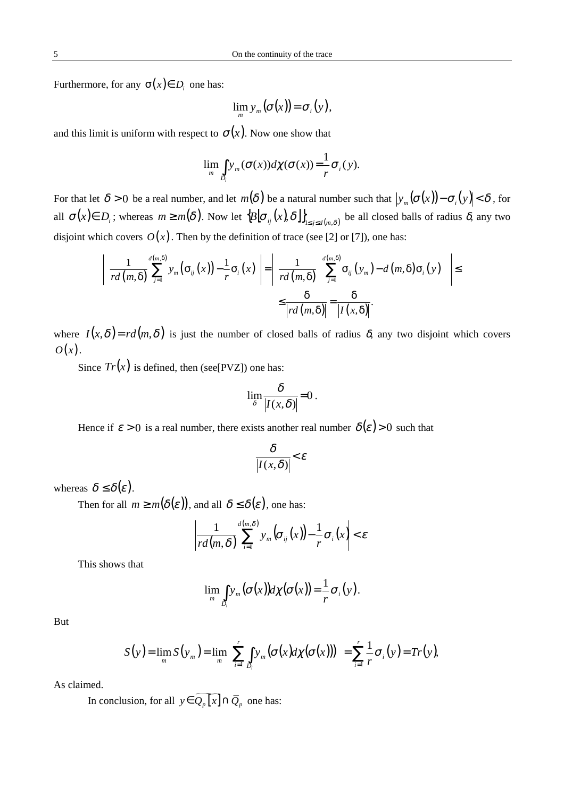Furthermore, for any  $\sigma(x) \in D_i$  one has:

$$
\lim_{m} y_{m}(\sigma(x)) = \sigma_{i}(y),
$$

and this limit is uniform with respect to  $\sigma(x)$ . Now one show that

$$
\lim_{m} \int_{D_i} y_m(\sigma(x)) d\chi(\sigma(x)) = \frac{1}{r} \sigma_i(y).
$$

For that let  $\delta > 0$  be a real number, and let  $m(\delta)$  be a natural number such that  $|y_m(\sigma(x)) - \sigma_i(y)| < \delta$ , for all  $\sigma(x) \in D_i$ ; whereas  $m \ge m(\delta)$ . Now let  ${B[\sigma_{ij}(x), \delta]}_{1 \le j \le d(m,\delta)}$  be all closed balls of radius  $\delta$ , any two disjoint which covers  $O(x)$ . Then by the definition of trace (see [2] or [7]), one has:

$$
\left|\frac{1}{rd(m,\delta)}\sum_{j=1}^{d(m,\delta)}y_m\big(\sigma_{ij}(x)\big)-\frac{1}{r}\sigma_i(x)\right|=\left|\frac{1}{rd(m,\delta)}\left(\sum_{j=1}^{d(m,\delta)}\sigma_{ij}(y_m)-d(m,\delta)\sigma_i(y)\right)\right|\leq \frac{\delta}{|rd(m,\delta)|}=\frac{\delta}{|I(x,\delta)|}.
$$

where  $I(x, \delta) = rd(m, \delta)$  is just the number of closed balls of radius  $\delta$ , any two disjoint which covers  $O(x)$ .

Since  $Tr(x)$  is defined, then (see[PVZ]) one has:

$$
\lim_{\delta} \frac{\delta}{|I(x,\delta)|} = 0.
$$

Hence if  $\varepsilon > 0$  is a real number, there exists another real number  $\delta(\varepsilon) > 0$  such that

$$
\frac{\delta}{\left|I(x,\delta)\right|} < \varepsilon
$$

whereas  $\delta \leq \delta(\varepsilon)$ .

Then for all  $m \ge m(\delta(\varepsilon))$ , and all  $\delta \le \delta(\varepsilon)$ , one has:

$$
\left|\frac{1}{rd(m,\delta)}\sum_{i=1}^{d(m,\delta)}y_m(\sigma_{ij}(x))-\frac{1}{r}\sigma_i(x)\right|<\varepsilon
$$

This shows that

$$
\lim_{m} \int_{D_i} y_m(\sigma(x)) d\chi(\sigma(x)) = \frac{1}{r} \sigma_i(y).
$$

But

$$
S(y) = \lim_{m} S(y_m) = \lim_{m} \left( \sum_{i=1}^{r} \int_{D_i} y_m(\sigma(x) d\chi(\sigma(x))) \right) = \sum_{i=1}^{r} \frac{1}{r} \sigma_i(y) = Tr(y),
$$

As claimed.

In conclusion, for all  $y \in \widetilde{Q_p[x]} \cap \overline{Q}_p$  one has: